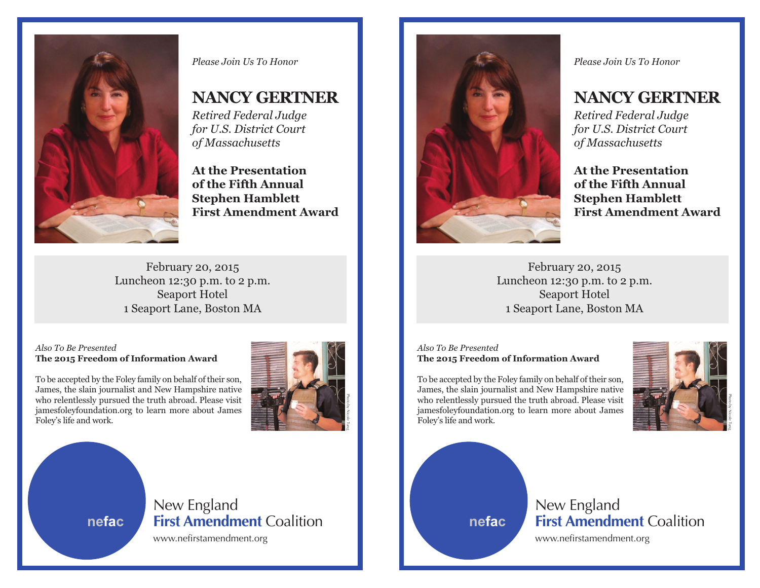

*Please Join Us To Honor*

## **NANCY GERTNER**

*Retired Federal Judge for U.S. District Court of Massachusetts*

**At the Presentation of the Fifth Annual Stephen Hamblett First Amendment Award**

February 20, 2015 Luncheon 12:30 p.m. to 2 p.m. Seaport Hotel 1 Seaport Lane, Boston MA

#### *Also To Be Presented* **The 2015 Freedom of Information Award**

To be accepted by the Foley family on behalf of their son, James, the slain journalist and New Hampshire native who relentlessly pursued the truth abroad. Please visit jamesfoleyfoundation.org to learn more about James Foley's life and work.



**nefac**

# New England **First Amendment** Coalition

www.nefirstamendment.org